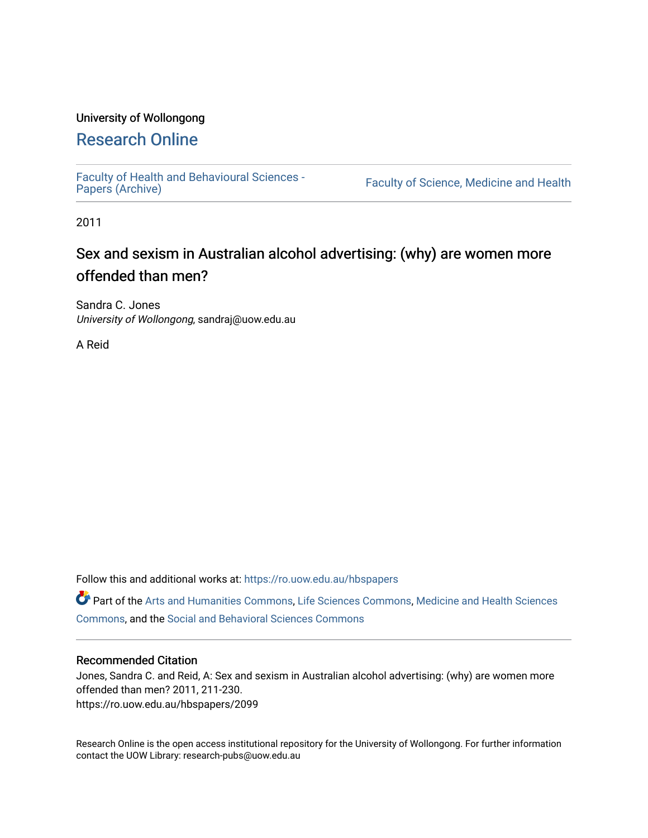#### University of Wollongong

## [Research Online](https://ro.uow.edu.au/)

[Faculty of Health and Behavioural Sciences -](https://ro.uow.edu.au/hbspapers)<br>Papers (Archive)

Faculty of Science, Medicine and Health

2011

# Sex and sexism in Australian alcohol advertising: (why) are women more offended than men?

Sandra C. Jones University of Wollongong, sandraj@uow.edu.au

A Reid

Follow this and additional works at: [https://ro.uow.edu.au/hbspapers](https://ro.uow.edu.au/hbspapers?utm_source=ro.uow.edu.au%2Fhbspapers%2F2099&utm_medium=PDF&utm_campaign=PDFCoverPages) 

Part of the [Arts and Humanities Commons,](http://network.bepress.com/hgg/discipline/438?utm_source=ro.uow.edu.au%2Fhbspapers%2F2099&utm_medium=PDF&utm_campaign=PDFCoverPages) [Life Sciences Commons,](http://network.bepress.com/hgg/discipline/1016?utm_source=ro.uow.edu.au%2Fhbspapers%2F2099&utm_medium=PDF&utm_campaign=PDFCoverPages) [Medicine and Health Sciences](http://network.bepress.com/hgg/discipline/648?utm_source=ro.uow.edu.au%2Fhbspapers%2F2099&utm_medium=PDF&utm_campaign=PDFCoverPages) [Commons](http://network.bepress.com/hgg/discipline/648?utm_source=ro.uow.edu.au%2Fhbspapers%2F2099&utm_medium=PDF&utm_campaign=PDFCoverPages), and the [Social and Behavioral Sciences Commons](http://network.bepress.com/hgg/discipline/316?utm_source=ro.uow.edu.au%2Fhbspapers%2F2099&utm_medium=PDF&utm_campaign=PDFCoverPages)

#### Recommended Citation

Jones, Sandra C. and Reid, A: Sex and sexism in Australian alcohol advertising: (why) are women more offended than men? 2011, 211-230. https://ro.uow.edu.au/hbspapers/2099

Research Online is the open access institutional repository for the University of Wollongong. For further information contact the UOW Library: research-pubs@uow.edu.au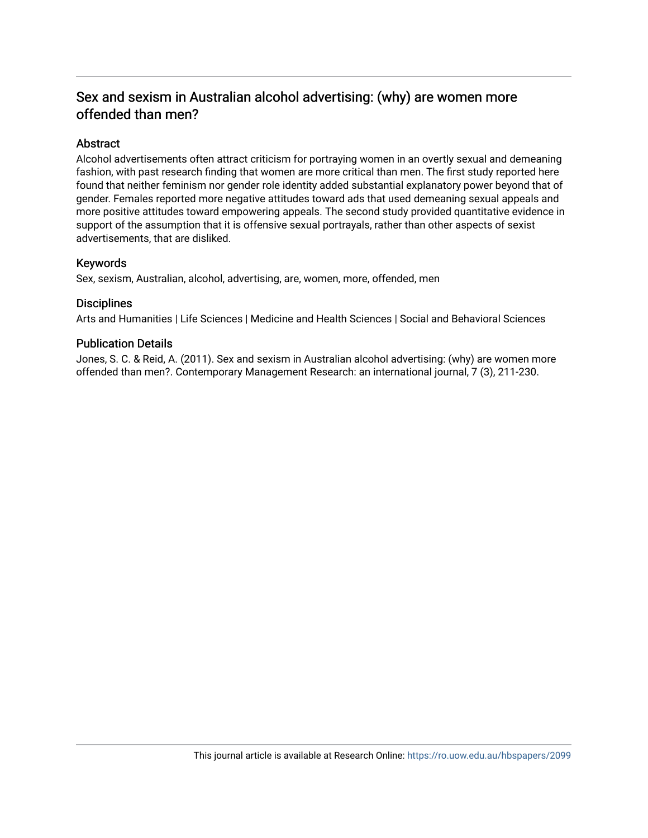## Sex and sexism in Australian alcohol advertising: (why) are women more offended than men?

#### **Abstract**

Alcohol advertisements often attract criticism for portraying women in an overtly sexual and demeaning fashion, with past research finding that women are more critical than men. The first study reported here found that neither feminism nor gender role identity added substantial explanatory power beyond that of gender. Females reported more negative attitudes toward ads that used demeaning sexual appeals and more positive attitudes toward empowering appeals. The second study provided quantitative evidence in support of the assumption that it is offensive sexual portrayals, rather than other aspects of sexist advertisements, that are disliked.

#### Keywords

Sex, sexism, Australian, alcohol, advertising, are, women, more, offended, men

#### **Disciplines**

Arts and Humanities | Life Sciences | Medicine and Health Sciences | Social and Behavioral Sciences

#### Publication Details

Jones, S. C. & Reid, A. (2011). Sex and sexism in Australian alcohol advertising: (why) are women more offended than men?. Contemporary Management Research: an international journal, 7 (3), 211-230.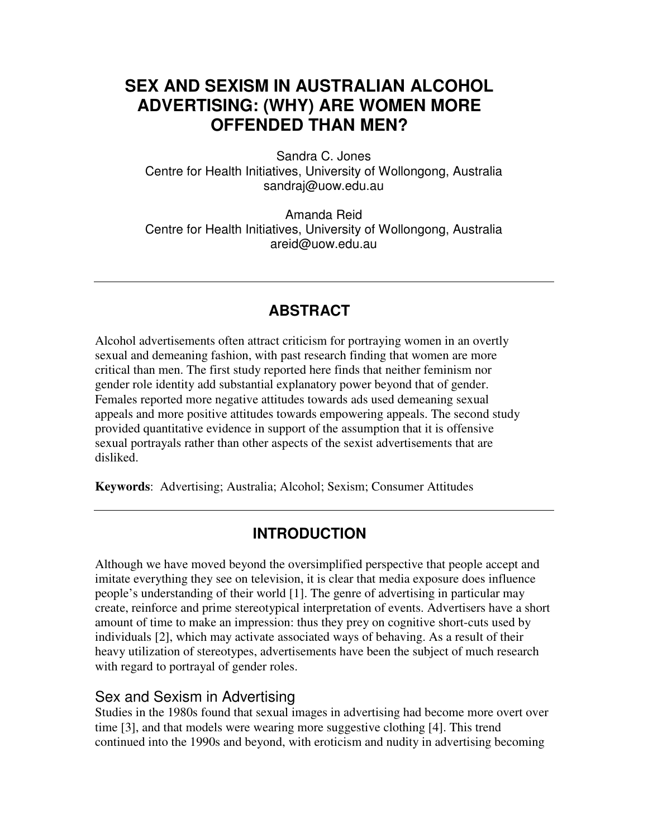# **SEX AND SEXISM IN AUSTRALIAN ALCOHOL ADVERTISING: (WHY) ARE WOMEN MORE OFFENDED THAN MEN?**

Sandra C. Jones Centre for Health Initiatives, University of Wollongong, Australia sandraj@uow.edu.au

Amanda Reid Centre for Health Initiatives, University of Wollongong, Australia areid@uow.edu.au

## **ABSTRACT**

Alcohol advertisements often attract criticism for portraying women in an overtly sexual and demeaning fashion, with past research finding that women are more critical than men. The first study reported here finds that neither feminism nor gender role identity add substantial explanatory power beyond that of gender. Females reported more negative attitudes towards ads used demeaning sexual appeals and more positive attitudes towards empowering appeals. The second study provided quantitative evidence in support of the assumption that it is offensive sexual portrayals rather than other aspects of the sexist advertisements that are disliked.

**Keywords**: Advertising; Australia; Alcohol; Sexism; Consumer Attitudes

## **INTRODUCTION**

Although we have moved beyond the oversimplified perspective that people accept and imitate everything they see on television, it is clear that media exposure does influence people's understanding of their world [1]. The genre of advertising in particular may create, reinforce and prime stereotypical interpretation of events. Advertisers have a short amount of time to make an impression: thus they prey on cognitive short-cuts used by individuals [2], which may activate associated ways of behaving. As a result of their heavy utilization of stereotypes, advertisements have been the subject of much research with regard to portrayal of gender roles.

### Sex and Sexism in Advertising

Studies in the 1980s found that sexual images in advertising had become more overt over time [3], and that models were wearing more suggestive clothing [4]. This trend continued into the 1990s and beyond, with eroticism and nudity in advertising becoming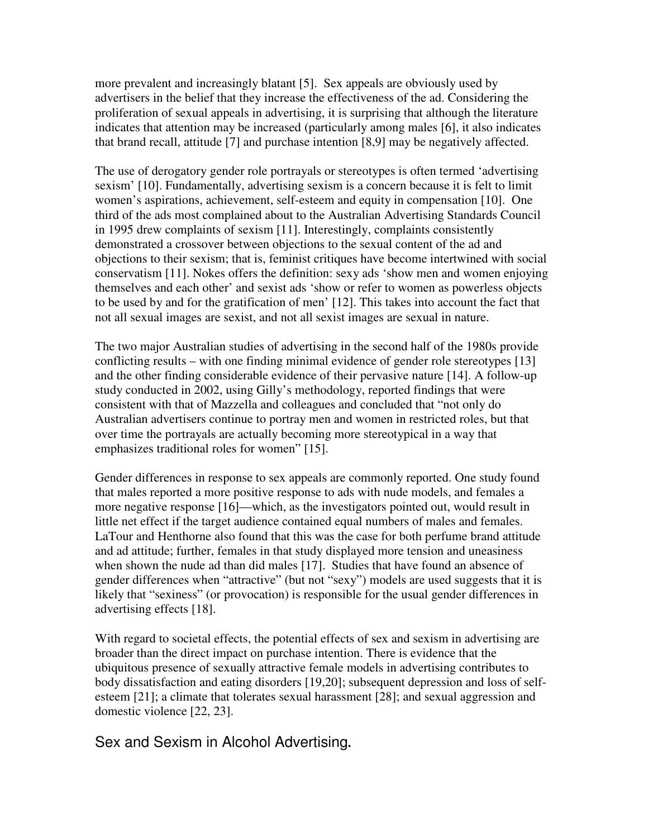more prevalent and increasingly blatant [5]. Sex appeals are obviously used by advertisers in the belief that they increase the effectiveness of the ad. Considering the proliferation of sexual appeals in advertising, it is surprising that although the literature indicates that attention may be increased (particularly among males [6], it also indicates that brand recall, attitude [7] and purchase intention [8,9] may be negatively affected.

The use of derogatory gender role portrayals or stereotypes is often termed 'advertising sexism' [10]. Fundamentally, advertising sexism is a concern because it is felt to limit women's aspirations, achievement, self-esteem and equity in compensation [10]. One third of the ads most complained about to the Australian Advertising Standards Council in 1995 drew complaints of sexism [11]. Interestingly, complaints consistently demonstrated a crossover between objections to the sexual content of the ad and objections to their sexism; that is, feminist critiques have become intertwined with social conservatism [11]. Nokes offers the definition: sexy ads 'show men and women enjoying themselves and each other' and sexist ads 'show or refer to women as powerless objects to be used by and for the gratification of men' [12]. This takes into account the fact that not all sexual images are sexist, and not all sexist images are sexual in nature.

The two major Australian studies of advertising in the second half of the 1980s provide conflicting results – with one finding minimal evidence of gender role stereotypes [13] and the other finding considerable evidence of their pervasive nature [14]. A follow-up study conducted in 2002, using Gilly's methodology, reported findings that were consistent with that of Mazzella and colleagues and concluded that "not only do Australian advertisers continue to portray men and women in restricted roles, but that over time the portrayals are actually becoming more stereotypical in a way that emphasizes traditional roles for women" [15].

Gender differences in response to sex appeals are commonly reported. One study found that males reported a more positive response to ads with nude models, and females a more negative response [16]—which, as the investigators pointed out, would result in little net effect if the target audience contained equal numbers of males and females. LaTour and Henthorne also found that this was the case for both perfume brand attitude and ad attitude; further, females in that study displayed more tension and uneasiness when shown the nude ad than did males [17]. Studies that have found an absence of gender differences when "attractive" (but not "sexy") models are used suggests that it is likely that "sexiness" (or provocation) is responsible for the usual gender differences in advertising effects [18].

With regard to societal effects, the potential effects of sex and sexism in advertising are broader than the direct impact on purchase intention. There is evidence that the ubiquitous presence of sexually attractive female models in advertising contributes to body dissatisfaction and eating disorders [19,20]; subsequent depression and loss of selfesteem [21]; a climate that tolerates sexual harassment [28]; and sexual aggression and domestic violence [22, 23].

Sex and Sexism in Alcohol Advertising**.**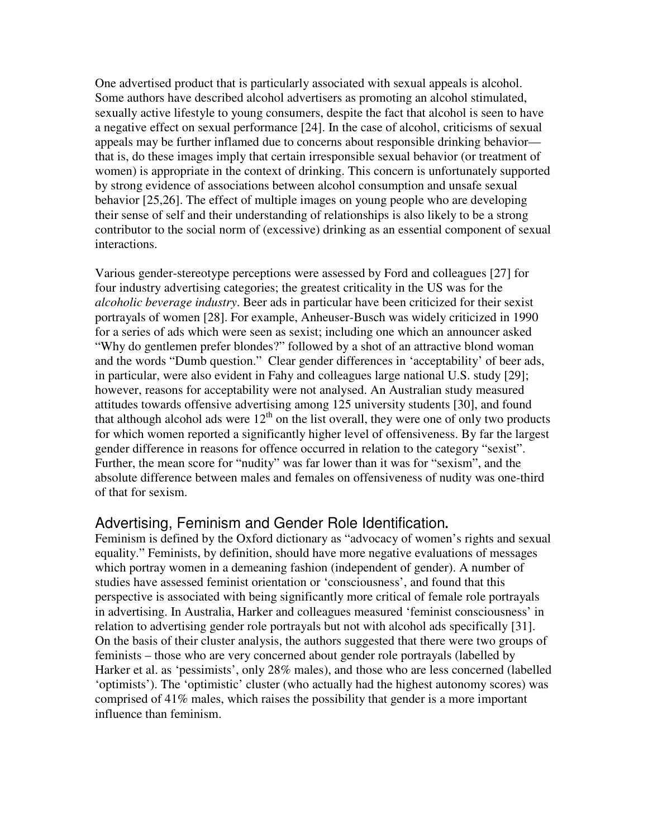One advertised product that is particularly associated with sexual appeals is alcohol. Some authors have described alcohol advertisers as promoting an alcohol stimulated, sexually active lifestyle to young consumers, despite the fact that alcohol is seen to have a negative effect on sexual performance [24]. In the case of alcohol, criticisms of sexual appeals may be further inflamed due to concerns about responsible drinking behavior that is, do these images imply that certain irresponsible sexual behavior (or treatment of women) is appropriate in the context of drinking. This concern is unfortunately supported by strong evidence of associations between alcohol consumption and unsafe sexual behavior [25,26]. The effect of multiple images on young people who are developing their sense of self and their understanding of relationships is also likely to be a strong contributor to the social norm of (excessive) drinking as an essential component of sexual interactions.

Various gender-stereotype perceptions were assessed by Ford and colleagues [27] for four industry advertising categories; the greatest criticality in the US was for the *alcoholic beverage industry*. Beer ads in particular have been criticized for their sexist portrayals of women [28]. For example, Anheuser-Busch was widely criticized in 1990 for a series of ads which were seen as sexist; including one which an announcer asked "Why do gentlemen prefer blondes?" followed by a shot of an attractive blond woman and the words "Dumb question." Clear gender differences in 'acceptability' of beer ads, in particular, were also evident in Fahy and colleagues large national U.S. study [29]; however, reasons for acceptability were not analysed. An Australian study measured attitudes towards offensive advertising among 125 university students [30], and found that although alcohol ads were  $12<sup>th</sup>$  on the list overall, they were one of only two products for which women reported a significantly higher level of offensiveness. By far the largest gender difference in reasons for offence occurred in relation to the category "sexist". Further, the mean score for "nudity" was far lower than it was for "sexism", and the absolute difference between males and females on offensiveness of nudity was one-third of that for sexism.

#### Advertising, Feminism and Gender Role Identification**.**

Feminism is defined by the Oxford dictionary as "advocacy of women's rights and sexual equality." Feminists, by definition, should have more negative evaluations of messages which portray women in a demeaning fashion (independent of gender). A number of studies have assessed feminist orientation or 'consciousness', and found that this perspective is associated with being significantly more critical of female role portrayals in advertising. In Australia, Harker and colleagues measured 'feminist consciousness' in relation to advertising gender role portrayals but not with alcohol ads specifically [31]. On the basis of their cluster analysis, the authors suggested that there were two groups of feminists – those who are very concerned about gender role portrayals (labelled by Harker et al. as 'pessimists', only 28% males), and those who are less concerned (labelled 'optimists'). The 'optimistic' cluster (who actually had the highest autonomy scores) was comprised of 41% males, which raises the possibility that gender is a more important influence than feminism.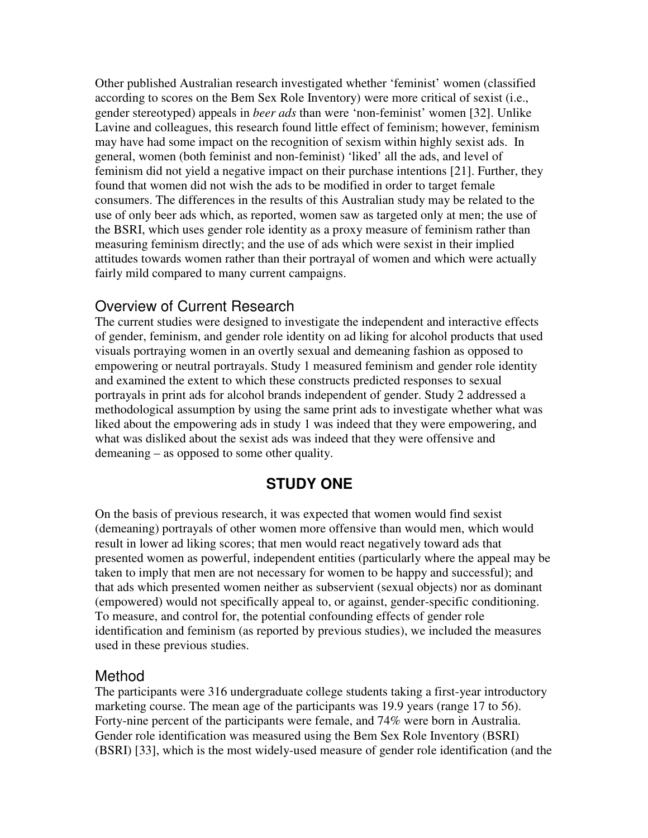Other published Australian research investigated whether 'feminist' women (classified according to scores on the Bem Sex Role Inventory) were more critical of sexist (i.e., gender stereotyped) appeals in *beer ads* than were 'non-feminist' women [32]. Unlike Lavine and colleagues, this research found little effect of feminism; however, feminism may have had some impact on the recognition of sexism within highly sexist ads. In general, women (both feminist and non-feminist) 'liked' all the ads, and level of feminism did not yield a negative impact on their purchase intentions [21]. Further, they found that women did not wish the ads to be modified in order to target female consumers. The differences in the results of this Australian study may be related to the use of only beer ads which, as reported, women saw as targeted only at men; the use of the BSRI, which uses gender role identity as a proxy measure of feminism rather than measuring feminism directly; and the use of ads which were sexist in their implied attitudes towards women rather than their portrayal of women and which were actually fairly mild compared to many current campaigns.

### Overview of Current Research

The current studies were designed to investigate the independent and interactive effects of gender, feminism, and gender role identity on ad liking for alcohol products that used visuals portraying women in an overtly sexual and demeaning fashion as opposed to empowering or neutral portrayals. Study 1 measured feminism and gender role identity and examined the extent to which these constructs predicted responses to sexual portrayals in print ads for alcohol brands independent of gender. Study 2 addressed a methodological assumption by using the same print ads to investigate whether what was liked about the empowering ads in study 1 was indeed that they were empowering, and what was disliked about the sexist ads was indeed that they were offensive and demeaning – as opposed to some other quality.

## **STUDY ONE**

On the basis of previous research, it was expected that women would find sexist (demeaning) portrayals of other women more offensive than would men, which would result in lower ad liking scores; that men would react negatively toward ads that presented women as powerful, independent entities (particularly where the appeal may be taken to imply that men are not necessary for women to be happy and successful); and that ads which presented women neither as subservient (sexual objects) nor as dominant (empowered) would not specifically appeal to, or against, gender-specific conditioning. To measure, and control for, the potential confounding effects of gender role identification and feminism (as reported by previous studies), we included the measures used in these previous studies.

#### Method

The participants were 316 undergraduate college students taking a first-year introductory marketing course. The mean age of the participants was 19.9 years (range 17 to 56). Forty-nine percent of the participants were female, and 74% were born in Australia. Gender role identification was measured using the Bem Sex Role Inventory (BSRI) (BSRI) [33], which is the most widely-used measure of gender role identification (and the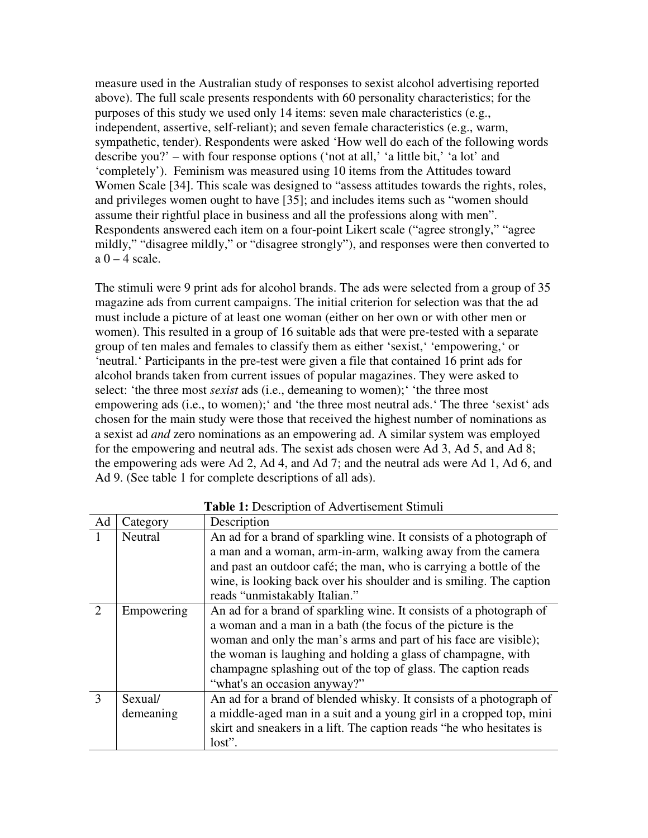measure used in the Australian study of responses to sexist alcohol advertising reported above). The full scale presents respondents with 60 personality characteristics; for the purposes of this study we used only 14 items: seven male characteristics (e.g., independent, assertive, self-reliant); and seven female characteristics (e.g., warm, sympathetic, tender). Respondents were asked 'How well do each of the following words describe you?' – with four response options ('not at all,' 'a little bit,' 'a lot' and 'completely'). Feminism was measured using 10 items from the Attitudes toward Women Scale [34]. This scale was designed to "assess attitudes towards the rights, roles, and privileges women ought to have [35]; and includes items such as "women should assume their rightful place in business and all the professions along with men". Respondents answered each item on a four-point Likert scale ("agree strongly," "agree mildly," "disagree mildly," or "disagree strongly"), and responses were then converted to  $a<sub>0</sub> - 4$  scale.

The stimuli were 9 print ads for alcohol brands. The ads were selected from a group of 35 magazine ads from current campaigns. The initial criterion for selection was that the ad must include a picture of at least one woman (either on her own or with other men or women). This resulted in a group of 16 suitable ads that were pre-tested with a separate group of ten males and females to classify them as either 'sexist,' 'empowering,' or 'neutral.' Participants in the pre-test were given a file that contained 16 print ads for alcohol brands taken from current issues of popular magazines. They were asked to select: 'the three most *sexist* ads (i.e., demeaning to women);' 'the three most empowering ads (i.e., to women);' and 'the three most neutral ads.' The three 'sexist' ads chosen for the main study were those that received the highest number of nominations as a sexist ad *and* zero nominations as an empowering ad. A similar system was employed for the empowering and neutral ads. The sexist ads chosen were Ad 3, Ad 5, and Ad 8; the empowering ads were Ad 2, Ad 4, and Ad 7; and the neutral ads were Ad 1, Ad 6, and Ad 9. (See table 1 for complete descriptions of all ads).

| Ad             | Category   | Description                                                          |  |  |  |  |
|----------------|------------|----------------------------------------------------------------------|--|--|--|--|
|                | Neutral    | An ad for a brand of sparkling wine. It consists of a photograph of  |  |  |  |  |
|                |            | a man and a woman, arm-in-arm, walking away from the camera          |  |  |  |  |
|                |            | and past an outdoor café; the man, who is carrying a bottle of the   |  |  |  |  |
|                |            | wine, is looking back over his shoulder and is smiling. The caption  |  |  |  |  |
|                |            | reads "unmistakably Italian."                                        |  |  |  |  |
| $\overline{2}$ | Empowering | An ad for a brand of sparkling wine. It consists of a photograph of  |  |  |  |  |
|                |            | a woman and a man in a bath (the focus of the picture is the         |  |  |  |  |
|                |            | woman and only the man's arms and part of his face are visible);     |  |  |  |  |
|                |            | the woman is laughing and holding a glass of champagne, with         |  |  |  |  |
|                |            | champagne splashing out of the top of glass. The caption reads       |  |  |  |  |
|                |            | "what's an occasion anyway?"                                         |  |  |  |  |
| $\mathcal{E}$  | Sexual/    | An ad for a brand of blended whisky. It consists of a photograph of  |  |  |  |  |
|                | demeaning  | a middle-aged man in a suit and a young girl in a cropped top, mini  |  |  |  |  |
|                |            | skirt and sneakers in a lift. The caption reads "he who hesitates is |  |  |  |  |
|                |            | lost".                                                               |  |  |  |  |

#### **Table 1:** Description of Advertisement Stimuli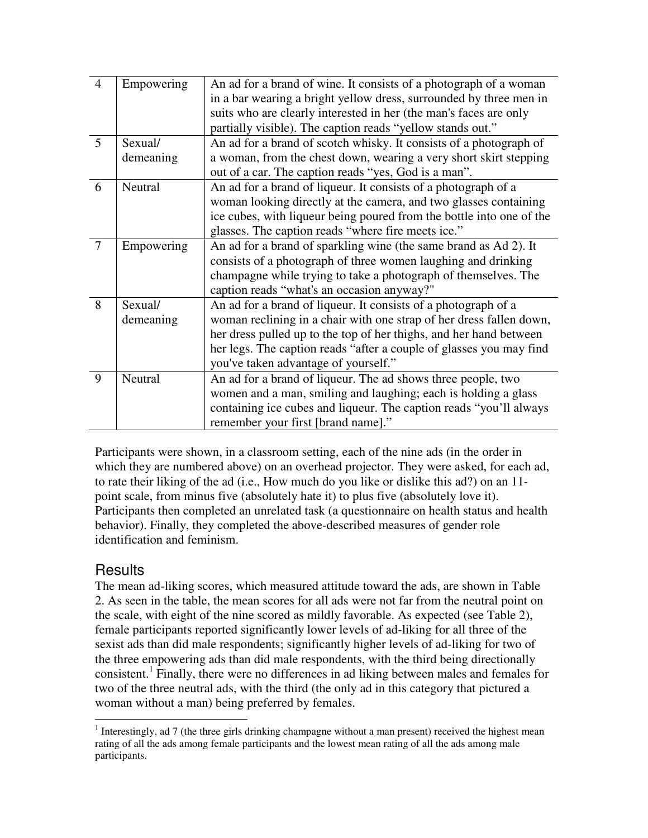| $\overline{4}$ | Empowering | An ad for a brand of wine. It consists of a photograph of a woman    |  |  |  |
|----------------|------------|----------------------------------------------------------------------|--|--|--|
|                |            | in a bar wearing a bright yellow dress, surrounded by three men in   |  |  |  |
|                |            | suits who are clearly interested in her (the man's faces are only    |  |  |  |
|                |            | partially visible). The caption reads "yellow stands out."           |  |  |  |
| $\overline{5}$ | Sexual/    | An ad for a brand of scotch whisky. It consists of a photograph of   |  |  |  |
|                | demeaning  | a woman, from the chest down, wearing a very short skirt stepping    |  |  |  |
|                |            | out of a car. The caption reads "yes, God is a man".                 |  |  |  |
| 6              | Neutral    | An ad for a brand of liqueur. It consists of a photograph of a       |  |  |  |
|                |            | woman looking directly at the camera, and two glasses containing     |  |  |  |
|                |            | ice cubes, with liqueur being poured from the bottle into one of the |  |  |  |
|                |            | glasses. The caption reads "where fire meets ice."                   |  |  |  |
| $\overline{7}$ | Empowering | An ad for a brand of sparkling wine (the same brand as Ad 2). It     |  |  |  |
|                |            | consists of a photograph of three women laughing and drinking        |  |  |  |
|                |            | champagne while trying to take a photograph of themselves. The       |  |  |  |
|                |            | caption reads "what's an occasion anyway?"                           |  |  |  |
| 8              | Sexual/    | An ad for a brand of liqueur. It consists of a photograph of a       |  |  |  |
|                | demeaning  | woman reclining in a chair with one strap of her dress fallen down,  |  |  |  |
|                |            | her dress pulled up to the top of her thighs, and her hand between   |  |  |  |
|                |            | her legs. The caption reads "after a couple of glasses you may find  |  |  |  |
|                |            | you've taken advantage of yourself."                                 |  |  |  |
| 9              | Neutral    | An ad for a brand of liqueur. The ad shows three people, two         |  |  |  |
|                |            | women and a man, smiling and laughing; each is holding a glass       |  |  |  |
|                |            | containing ice cubes and liqueur. The caption reads "you'll always   |  |  |  |
|                |            | remember your first [brand name]."                                   |  |  |  |

Participants were shown, in a classroom setting, each of the nine ads (in the order in which they are numbered above) on an overhead projector. They were asked, for each ad, to rate their liking of the ad (i.e., How much do you like or dislike this ad?) on an 11 point scale, from minus five (absolutely hate it) to plus five (absolutely love it). Participants then completed an unrelated task (a questionnaire on health status and health behavior). Finally, they completed the above-described measures of gender role identification and feminism.

### **Results**

The mean ad-liking scores, which measured attitude toward the ads, are shown in Table 2. As seen in the table, the mean scores for all ads were not far from the neutral point on the scale, with eight of the nine scored as mildly favorable. As expected (see Table 2), female participants reported significantly lower levels of ad-liking for all three of the sexist ads than did male respondents; significantly higher levels of ad-liking for two of the three empowering ads than did male respondents, with the third being directionally consistent.<sup>1</sup> Finally, there were no differences in ad liking between males and females for two of the three neutral ads, with the third (the only ad in this category that pictured a woman without a man) being preferred by females.

 $\overline{a}$  $<sup>1</sup>$  Interestingly, ad 7 (the three girls drinking champagne without a man present) received the highest mean</sup> rating of all the ads among female participants and the lowest mean rating of all the ads among male participants.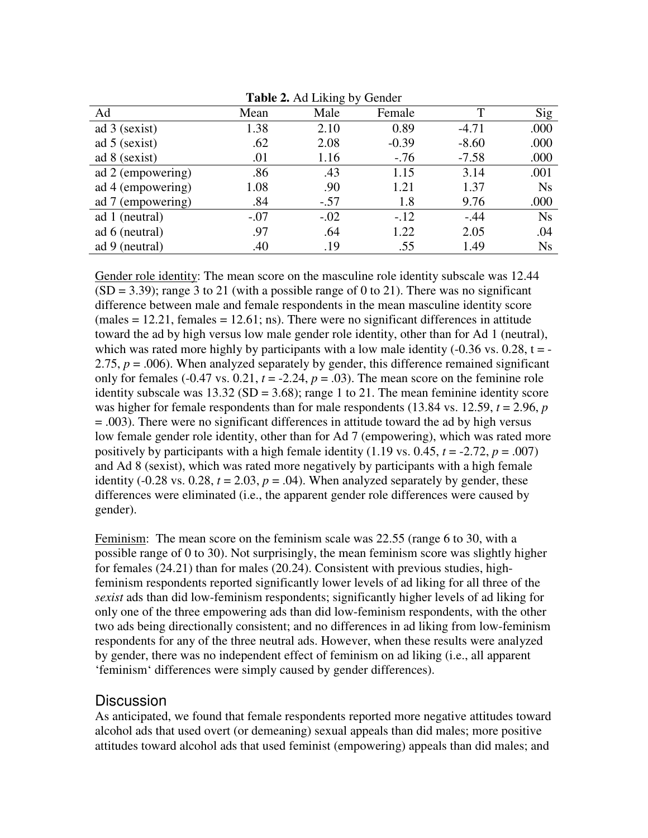| Ad                | Mean   | Male   | Female  | T       | Sig       |
|-------------------|--------|--------|---------|---------|-----------|
| ad $3$ (sexist)   | 1.38   | 2.10   | 0.89    | $-4.71$ | .000      |
| ad $5$ (sexist)   | .62    | 2.08   | $-0.39$ | $-8.60$ | .000      |
| ad 8 (sexist)     | .01    | 1.16   | $-.76$  | $-7.58$ | .000      |
| ad 2 (empowering) | .86    | .43    | 1.15    | 3.14    | .001      |
| ad 4 (empowering) | 1.08   | .90    | 1.21    | 1.37    | <b>Ns</b> |
| ad 7 (empowering) | .84    | $-.57$ | 1.8     | 9.76    | .000      |
| ad 1 (neutral)    | $-.07$ | $-.02$ | $-.12$  | $-.44$  | <b>Ns</b> |
| ad 6 (neutral)    | .97    | .64    | 1.22    | 2.05    | .04       |
| ad 9 (neutral)    | .40    | .19    | .55     | 1.49    | <b>Ns</b> |

**Table 2.** Ad Liking by Gender

Gender role identity: The mean score on the masculine role identity subscale was 12.44  $(SD = 3.39)$ ; range 3 to 21 (with a possible range of 0 to 21). There was no significant difference between male and female respondents in the mean masculine identity score  $(males = 12.21, females = 12.61; ns)$ . There were no significant differences in attitude toward the ad by high versus low male gender role identity, other than for Ad 1 (neutral), which was rated more highly by participants with a low male identity  $(-0.36 \text{ vs. } 0.28, t = -1)$ 2.75,  $p = .006$ ). When analyzed separately by gender, this difference remained significant only for females  $(-0.47 \text{ vs. } 0.21, t = -2.24, p = .03)$ . The mean score on the feminine role identity subscale was  $13.32$  (SD = 3.68); range 1 to 21. The mean feminine identity score was higher for female respondents than for male respondents (13.84 vs. 12.59,  $t = 2.96$ ,  $p$ = .003). There were no significant differences in attitude toward the ad by high versus low female gender role identity, other than for Ad 7 (empowering), which was rated more positively by participants with a high female identity (1.19 vs. 0.45,  $t = -2.72$ ,  $p = .007$ ) and Ad 8 (sexist), which was rated more negatively by participants with a high female identity (-0.28 vs. 0.28,  $t = 2.03$ ,  $p = .04$ ). When analyzed separately by gender, these differences were eliminated (i.e., the apparent gender role differences were caused by gender).

Feminism: The mean score on the feminism scale was 22.55 (range 6 to 30, with a possible range of 0 to 30). Not surprisingly, the mean feminism score was slightly higher for females (24.21) than for males (20.24). Consistent with previous studies, highfeminism respondents reported significantly lower levels of ad liking for all three of the *sexist* ads than did low-feminism respondents; significantly higher levels of ad liking for only one of the three empowering ads than did low-feminism respondents, with the other two ads being directionally consistent; and no differences in ad liking from low-feminism respondents for any of the three neutral ads. However, when these results were analyzed by gender, there was no independent effect of feminism on ad liking (i.e., all apparent 'feminism' differences were simply caused by gender differences).

#### **Discussion**

As anticipated, we found that female respondents reported more negative attitudes toward alcohol ads that used overt (or demeaning) sexual appeals than did males; more positive attitudes toward alcohol ads that used feminist (empowering) appeals than did males; and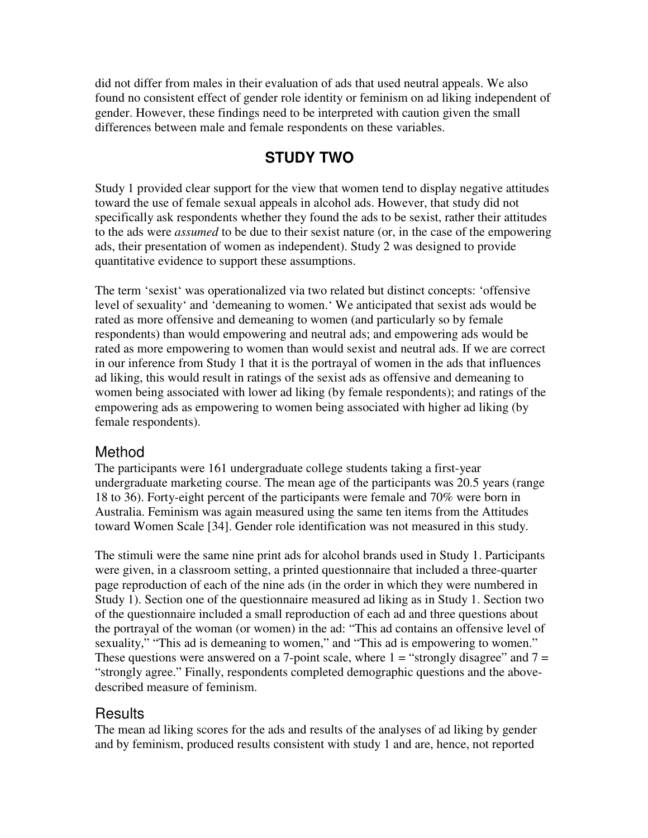did not differ from males in their evaluation of ads that used neutral appeals. We also found no consistent effect of gender role identity or feminism on ad liking independent of gender. However, these findings need to be interpreted with caution given the small differences between male and female respondents on these variables.

## **STUDY TWO**

Study 1 provided clear support for the view that women tend to display negative attitudes toward the use of female sexual appeals in alcohol ads. However, that study did not specifically ask respondents whether they found the ads to be sexist, rather their attitudes to the ads were *assumed* to be due to their sexist nature (or, in the case of the empowering ads, their presentation of women as independent). Study 2 was designed to provide quantitative evidence to support these assumptions.

The term 'sexist' was operationalized via two related but distinct concepts: 'offensive level of sexuality' and 'demeaning to women.' We anticipated that sexist ads would be rated as more offensive and demeaning to women (and particularly so by female respondents) than would empowering and neutral ads; and empowering ads would be rated as more empowering to women than would sexist and neutral ads. If we are correct in our inference from Study 1 that it is the portrayal of women in the ads that influences ad liking, this would result in ratings of the sexist ads as offensive and demeaning to women being associated with lower ad liking (by female respondents); and ratings of the empowering ads as empowering to women being associated with higher ad liking (by female respondents).

### Method

The participants were 161 undergraduate college students taking a first-year undergraduate marketing course. The mean age of the participants was 20.5 years (range 18 to 36). Forty-eight percent of the participants were female and 70% were born in Australia. Feminism was again measured using the same ten items from the Attitudes toward Women Scale [34]. Gender role identification was not measured in this study.

The stimuli were the same nine print ads for alcohol brands used in Study 1. Participants were given, in a classroom setting, a printed questionnaire that included a three-quarter page reproduction of each of the nine ads (in the order in which they were numbered in Study 1). Section one of the questionnaire measured ad liking as in Study 1. Section two of the questionnaire included a small reproduction of each ad and three questions about the portrayal of the woman (or women) in the ad: "This ad contains an offensive level of sexuality," "This ad is demeaning to women," and "This ad is empowering to women." These questions were answered on a 7-point scale, where  $1 =$  "strongly disagree" and  $7 =$ "strongly agree." Finally, respondents completed demographic questions and the abovedescribed measure of feminism.

### **Results**

The mean ad liking scores for the ads and results of the analyses of ad liking by gender and by feminism, produced results consistent with study 1 and are, hence, not reported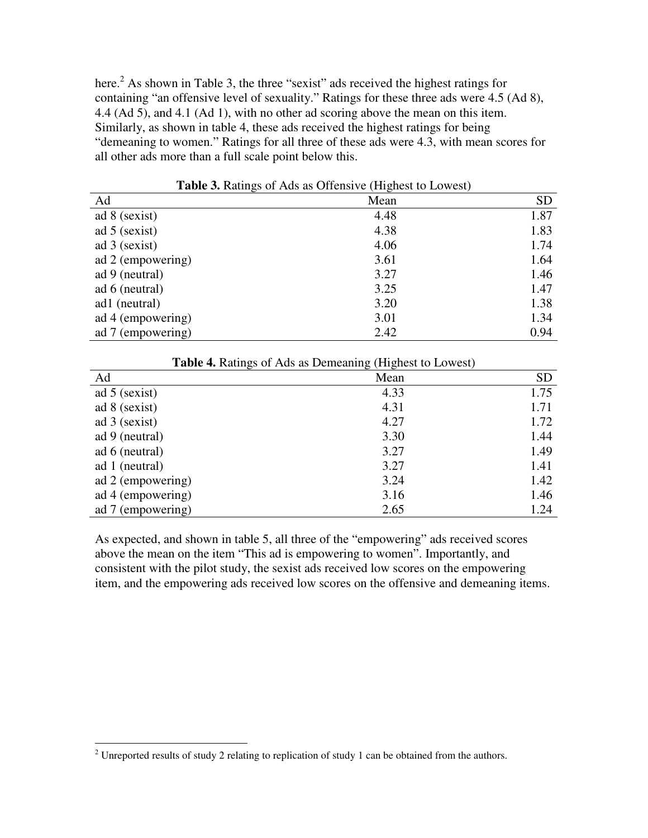here.<sup>2</sup> As shown in Table 3, the three "sexist" ads received the highest ratings for containing "an offensive level of sexuality." Ratings for these three ads were 4.5 (Ad 8), 4.4 (Ad 5), and 4.1 (Ad 1), with no other ad scoring above the mean on this item. Similarly, as shown in table 4, these ads received the highest ratings for being "demeaning to women." Ratings for all three of these ads were 4.3, with mean scores for all other ads more than a full scale point below this.

|                   | ັ    |           |
|-------------------|------|-----------|
| Ad                | Mean | <b>SD</b> |
| ad 8 (sexist)     | 4.48 | 1.87      |
| ad 5 (sexist)     | 4.38 | 1.83      |
| ad $3$ (sexist)   | 4.06 | 1.74      |
| ad 2 (empowering) | 3.61 | 1.64      |
| ad 9 (neutral)    | 3.27 | 1.46      |
| ad 6 (neutral)    | 3.25 | 1.47      |
| ad1 (neutral)     | 3.20 | 1.38      |
| ad 4 (empowering) | 3.01 | 1.34      |
| ad 7 (empowering) | 2.42 | 0.94      |
|                   |      |           |

**Table 3.** Ratings of Ads as Offensive (Highest to Lowest)

| Table 4. Ratings of Ads as Demeaning (Highest to Lowest) |  |
|----------------------------------------------------------|--|
|----------------------------------------------------------|--|

| Ad                | Mean | <b>SD</b> |
|-------------------|------|-----------|
| ad $5$ (sexist)   | 4.33 | 1.75      |
| ad 8 (sexist)     | 4.31 | 1.71      |
| ad $3$ (sexist)   | 4.27 | 1.72      |
| ad 9 (neutral)    | 3.30 | 1.44      |
| ad 6 (neutral)    | 3.27 | 1.49      |
| ad 1 (neutral)    | 3.27 | 1.41      |
| ad 2 (empowering) | 3.24 | 1.42      |
| ad 4 (empowering) | 3.16 | 1.46      |
| ad 7 (empowering) | 2.65 | 1.24      |

As expected, and shown in table 5, all three of the "empowering" ads received scores above the mean on the item "This ad is empowering to women". Importantly, and consistent with the pilot study, the sexist ads received low scores on the empowering item, and the empowering ads received low scores on the offensive and demeaning items.

 $\overline{a}$ 

<sup>&</sup>lt;sup>2</sup> Unreported results of study 2 relating to replication of study 1 can be obtained from the authors.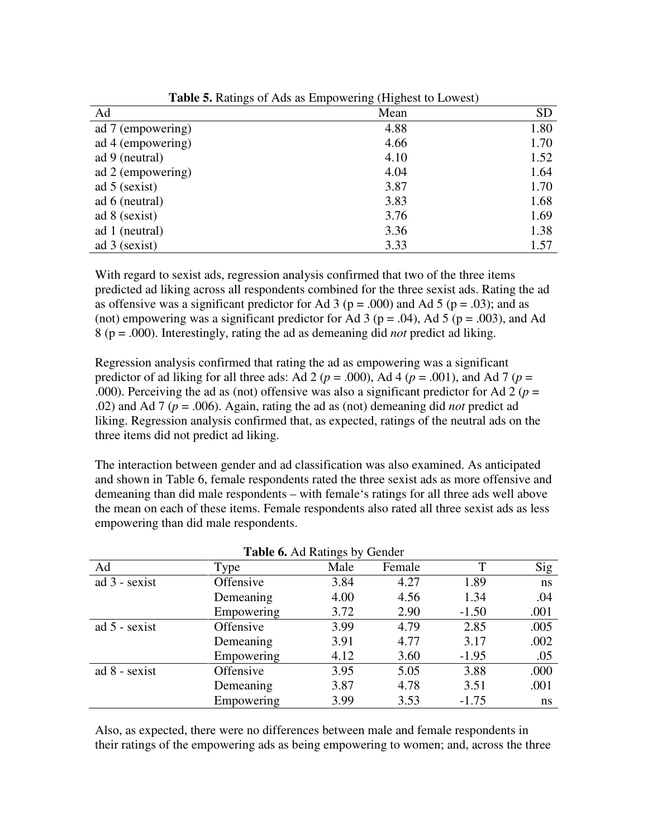| o                 | $\circ$<br>$\circ$ |           |
|-------------------|--------------------|-----------|
| Ad                | Mean               | <b>SD</b> |
| ad 7 (empowering) | 4.88               | 1.80      |
| ad 4 (empowering) | 4.66               | 1.70      |
| ad 9 (neutral)    | 4.10               | 1.52      |
| ad 2 (empowering) | 4.04               | 1.64      |
| ad 5 (sexist)     | 3.87               | 1.70      |
| ad 6 (neutral)    | 3.83               | 1.68      |
| ad 8 (sexist)     | 3.76               | 1.69      |
| ad 1 (neutral)    | 3.36               | 1.38      |
| ad $3$ (sexist)   | 3.33               | 1.57      |

**Table 5.** Ratings of Ads as Empowering (Highest to Lowest)

With regard to sexist ads, regression analysis confirmed that two of the three items predicted ad liking across all respondents combined for the three sexist ads. Rating the ad as offensive was a significant predictor for Ad 3 ( $p = .000$ ) and Ad 5 ( $p = .03$ ); and as (not) empowering was a significant predictor for Ad 3 ( $p = .04$ ), Ad 5 ( $p = .003$ ), and Ad 8 (p = .000). Interestingly, rating the ad as demeaning did *not* predict ad liking.

Regression analysis confirmed that rating the ad as empowering was a significant predictor of ad liking for all three ads: Ad 2 ( $p = .000$ ), Ad 4 ( $p = .001$ ), and Ad 7 ( $p =$ .000). Perceiving the ad as (not) offensive was also a significant predictor for Ad 2 ( $p =$ .02) and Ad 7 (*p* = .006). Again, rating the ad as (not) demeaning did *not* predict ad liking. Regression analysis confirmed that, as expected, ratings of the neutral ads on the three items did not predict ad liking.

The interaction between gender and ad classification was also examined. As anticipated and shown in Table 6, female respondents rated the three sexist ads as more offensive and demeaning than did male respondents – with female's ratings for all three ads well above the mean on each of these items. Female respondents also rated all three sexist ads as less empowering than did male respondents.

| $\frac{1}{2}$ and $\frac{1}{2}$ are realized by Schuch |            |      |        |         |      |
|--------------------------------------------------------|------------|------|--------|---------|------|
| Ad                                                     | Type       | Male | Female | T       | Sig  |
| ad $3 -$ sexist                                        | Offensive  | 3.84 | 4.27   | 1.89    | ns   |
|                                                        | Demeaning  | 4.00 | 4.56   | 1.34    | .04  |
|                                                        | Empowering | 3.72 | 2.90   | $-1.50$ | .001 |
| ad $5 -$ sexist                                        | Offensive  | 3.99 | 4.79   | 2.85    | .005 |
|                                                        | Demeaning  | 3.91 | 4.77   | 3.17    | .002 |
|                                                        | Empowering | 4.12 | 3.60   | $-1.95$ | .05  |
| ad $8 -$ sexist                                        | Offensive  | 3.95 | 5.05   | 3.88    | .000 |
|                                                        | Demeaning  | 3.87 | 4.78   | 3.51    | .001 |
|                                                        | Empowering | 3.99 | 3.53   | $-1.75$ | ns   |

Also, as expected, there were no differences between male and female respondents in their ratings of the empowering ads as being empowering to women; and, across the three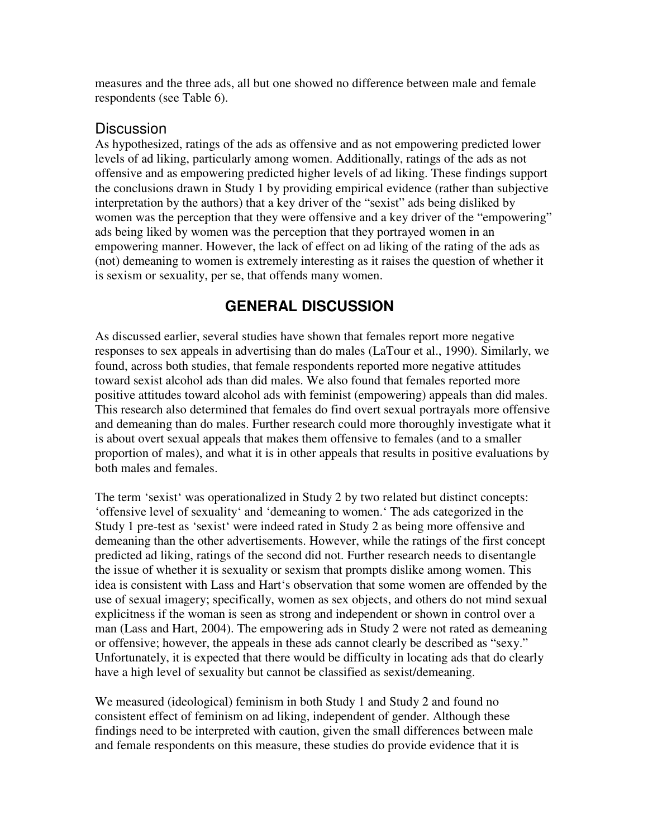measures and the three ads, all but one showed no difference between male and female respondents (see Table 6).

#### **Discussion**

As hypothesized, ratings of the ads as offensive and as not empowering predicted lower levels of ad liking, particularly among women. Additionally, ratings of the ads as not offensive and as empowering predicted higher levels of ad liking. These findings support the conclusions drawn in Study 1 by providing empirical evidence (rather than subjective interpretation by the authors) that a key driver of the "sexist" ads being disliked by women was the perception that they were offensive and a key driver of the "empowering" ads being liked by women was the perception that they portrayed women in an empowering manner. However, the lack of effect on ad liking of the rating of the ads as (not) demeaning to women is extremely interesting as it raises the question of whether it is sexism or sexuality, per se, that offends many women.

## **GENERAL DISCUSSION**

As discussed earlier, several studies have shown that females report more negative responses to sex appeals in advertising than do males (LaTour et al., 1990). Similarly, we found, across both studies, that female respondents reported more negative attitudes toward sexist alcohol ads than did males. We also found that females reported more positive attitudes toward alcohol ads with feminist (empowering) appeals than did males. This research also determined that females do find overt sexual portrayals more offensive and demeaning than do males. Further research could more thoroughly investigate what it is about overt sexual appeals that makes them offensive to females (and to a smaller proportion of males), and what it is in other appeals that results in positive evaluations by both males and females.

The term 'sexist' was operationalized in Study 2 by two related but distinct concepts: 'offensive level of sexuality' and 'demeaning to women.' The ads categorized in the Study 1 pre-test as 'sexist' were indeed rated in Study 2 as being more offensive and demeaning than the other advertisements. However, while the ratings of the first concept predicted ad liking, ratings of the second did not. Further research needs to disentangle the issue of whether it is sexuality or sexism that prompts dislike among women. This idea is consistent with Lass and Hart's observation that some women are offended by the use of sexual imagery; specifically, women as sex objects, and others do not mind sexual explicitness if the woman is seen as strong and independent or shown in control over a man (Lass and Hart, 2004). The empowering ads in Study 2 were not rated as demeaning or offensive; however, the appeals in these ads cannot clearly be described as "sexy." Unfortunately, it is expected that there would be difficulty in locating ads that do clearly have a high level of sexuality but cannot be classified as sexist/demeaning.

We measured (ideological) feminism in both Study 1 and Study 2 and found no consistent effect of feminism on ad liking, independent of gender. Although these findings need to be interpreted with caution, given the small differences between male and female respondents on this measure, these studies do provide evidence that it is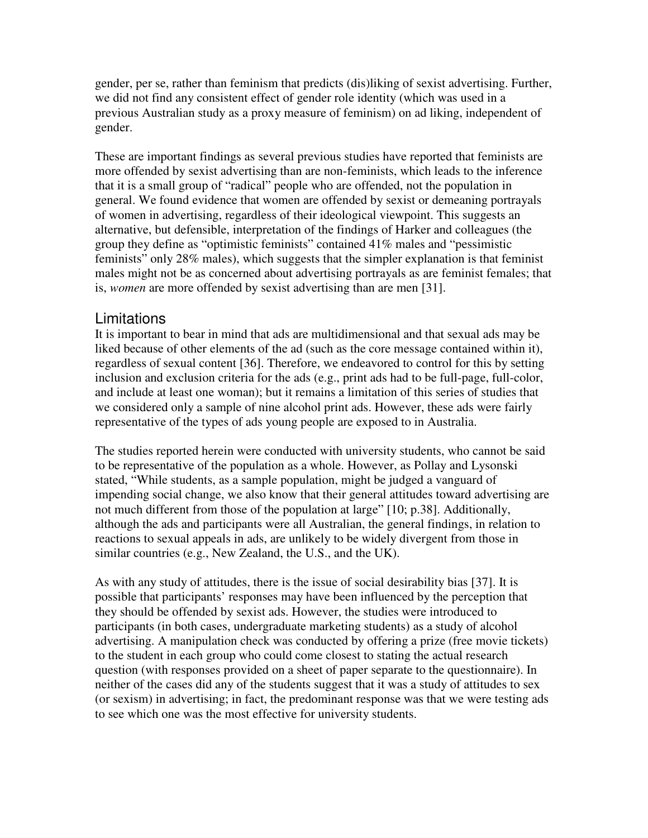gender, per se, rather than feminism that predicts (dis)liking of sexist advertising. Further, we did not find any consistent effect of gender role identity (which was used in a previous Australian study as a proxy measure of feminism) on ad liking, independent of gender.

These are important findings as several previous studies have reported that feminists are more offended by sexist advertising than are non-feminists, which leads to the inference that it is a small group of "radical" people who are offended, not the population in general. We found evidence that women are offended by sexist or demeaning portrayals of women in advertising, regardless of their ideological viewpoint. This suggests an alternative, but defensible, interpretation of the findings of Harker and colleagues (the group they define as "optimistic feminists" contained 41% males and "pessimistic feminists" only 28% males), which suggests that the simpler explanation is that feminist males might not be as concerned about advertising portrayals as are feminist females; that is, *women* are more offended by sexist advertising than are men [31].

### Limitations

It is important to bear in mind that ads are multidimensional and that sexual ads may be liked because of other elements of the ad (such as the core message contained within it), regardless of sexual content [36]. Therefore, we endeavored to control for this by setting inclusion and exclusion criteria for the ads (e.g., print ads had to be full-page, full-color, and include at least one woman); but it remains a limitation of this series of studies that we considered only a sample of nine alcohol print ads. However, these ads were fairly representative of the types of ads young people are exposed to in Australia.

The studies reported herein were conducted with university students, who cannot be said to be representative of the population as a whole. However, as Pollay and Lysonski stated, "While students, as a sample population, might be judged a vanguard of impending social change, we also know that their general attitudes toward advertising are not much different from those of the population at large" [10; p.38]. Additionally, although the ads and participants were all Australian, the general findings, in relation to reactions to sexual appeals in ads, are unlikely to be widely divergent from those in similar countries (e.g., New Zealand, the U.S., and the UK).

As with any study of attitudes, there is the issue of social desirability bias [37]. It is possible that participants' responses may have been influenced by the perception that they should be offended by sexist ads. However, the studies were introduced to participants (in both cases, undergraduate marketing students) as a study of alcohol advertising. A manipulation check was conducted by offering a prize (free movie tickets) to the student in each group who could come closest to stating the actual research question (with responses provided on a sheet of paper separate to the questionnaire). In neither of the cases did any of the students suggest that it was a study of attitudes to sex (or sexism) in advertising; in fact, the predominant response was that we were testing ads to see which one was the most effective for university students.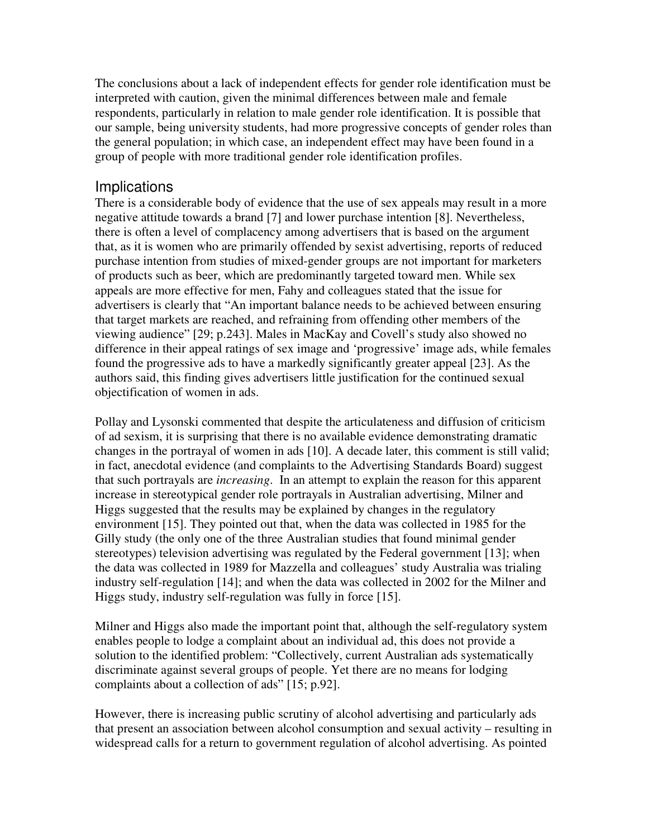The conclusions about a lack of independent effects for gender role identification must be interpreted with caution, given the minimal differences between male and female respondents, particularly in relation to male gender role identification. It is possible that our sample, being university students, had more progressive concepts of gender roles than the general population; in which case, an independent effect may have been found in a group of people with more traditional gender role identification profiles.

### **Implications**

There is a considerable body of evidence that the use of sex appeals may result in a more negative attitude towards a brand [7] and lower purchase intention [8]. Nevertheless, there is often a level of complacency among advertisers that is based on the argument that, as it is women who are primarily offended by sexist advertising, reports of reduced purchase intention from studies of mixed-gender groups are not important for marketers of products such as beer, which are predominantly targeted toward men. While sex appeals are more effective for men, Fahy and colleagues stated that the issue for advertisers is clearly that "An important balance needs to be achieved between ensuring that target markets are reached, and refraining from offending other members of the viewing audience" [29; p.243]. Males in MacKay and Covell's study also showed no difference in their appeal ratings of sex image and 'progressive' image ads, while females found the progressive ads to have a markedly significantly greater appeal [23]. As the authors said, this finding gives advertisers little justification for the continued sexual objectification of women in ads.

Pollay and Lysonski commented that despite the articulateness and diffusion of criticism of ad sexism, it is surprising that there is no available evidence demonstrating dramatic changes in the portrayal of women in ads [10]. A decade later, this comment is still valid; in fact, anecdotal evidence (and complaints to the Advertising Standards Board) suggest that such portrayals are *increasing*. In an attempt to explain the reason for this apparent increase in stereotypical gender role portrayals in Australian advertising, Milner and Higgs suggested that the results may be explained by changes in the regulatory environment [15]. They pointed out that, when the data was collected in 1985 for the Gilly study (the only one of the three Australian studies that found minimal gender stereotypes) television advertising was regulated by the Federal government [13]; when the data was collected in 1989 for Mazzella and colleagues' study Australia was trialing industry self-regulation [14]; and when the data was collected in 2002 for the Milner and Higgs study, industry self-regulation was fully in force [15].

Milner and Higgs also made the important point that, although the self-regulatory system enables people to lodge a complaint about an individual ad, this does not provide a solution to the identified problem: "Collectively, current Australian ads systematically discriminate against several groups of people. Yet there are no means for lodging complaints about a collection of ads" [15; p.92].

However, there is increasing public scrutiny of alcohol advertising and particularly ads that present an association between alcohol consumption and sexual activity – resulting in widespread calls for a return to government regulation of alcohol advertising. As pointed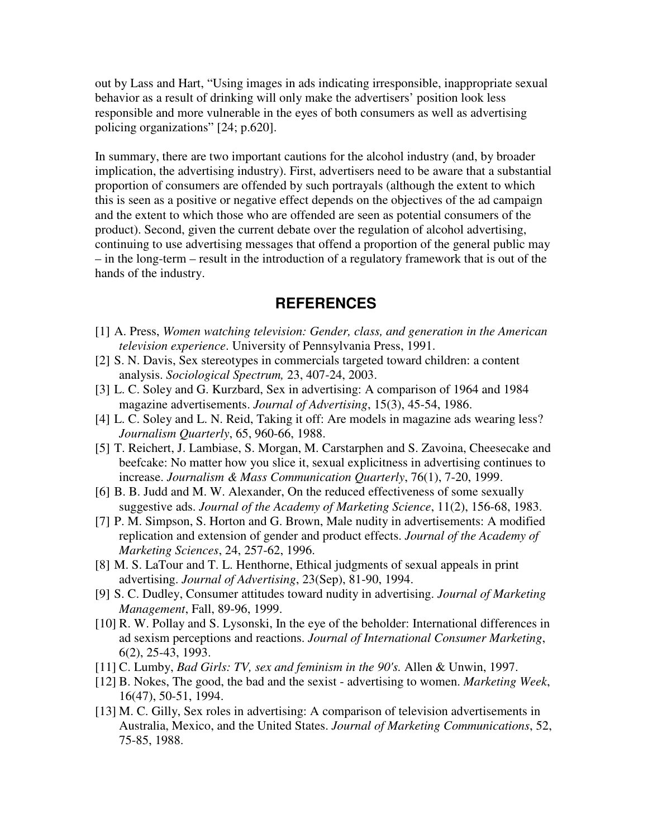out by Lass and Hart, "Using images in ads indicating irresponsible, inappropriate sexual behavior as a result of drinking will only make the advertisers' position look less responsible and more vulnerable in the eyes of both consumers as well as advertising policing organizations" [24; p.620].

In summary, there are two important cautions for the alcohol industry (and, by broader implication, the advertising industry). First, advertisers need to be aware that a substantial proportion of consumers are offended by such portrayals (although the extent to which this is seen as a positive or negative effect depends on the objectives of the ad campaign and the extent to which those who are offended are seen as potential consumers of the product). Second, given the current debate over the regulation of alcohol advertising, continuing to use advertising messages that offend a proportion of the general public may – in the long-term – result in the introduction of a regulatory framework that is out of the hands of the industry.

#### **REFERENCES**

- [1] A. Press, *Women watching television: Gender, class, and generation in the American television experience*. University of Pennsylvania Press, 1991.
- [2] S. N. Davis, Sex stereotypes in commercials targeted toward children: a content analysis. *Sociological Spectrum,* 23, 407-24, 2003.
- [3] L. C. Soley and G. Kurzbard, Sex in advertising: A comparison of 1964 and 1984 magazine advertisements. *Journal of Advertising*, 15(3), 45-54, 1986.
- [4] L. C. Soley and L. N. Reid, Taking it off: Are models in magazine ads wearing less? *Journalism Quarterly*, 65, 960-66, 1988.
- [5] T. Reichert, J. Lambiase, S. Morgan, M. Carstarphen and S. Zavoina, Cheesecake and beefcake: No matter how you slice it, sexual explicitness in advertising continues to increase. *Journalism & Mass Communication Quarterly*, 76(1), 7-20, 1999.
- [6] B. B. Judd and M. W. Alexander, On the reduced effectiveness of some sexually suggestive ads. *Journal of the Academy of Marketing Science*, 11(2), 156-68, 1983.
- [7] P. M. Simpson, S. Horton and G. Brown, Male nudity in advertisements: A modified replication and extension of gender and product effects. *Journal of the Academy of Marketing Sciences*, 24, 257-62, 1996.
- [8] M. S. LaTour and T. L. Henthorne, Ethical judgments of sexual appeals in print advertising. *Journal of Advertising*, 23(Sep), 81-90, 1994.
- [9] S. C. Dudley, Consumer attitudes toward nudity in advertising. *Journal of Marketing Management*, Fall, 89-96, 1999.
- [10] R. W. Pollay and S. Lysonski, In the eye of the beholder: International differences in ad sexism perceptions and reactions. *Journal of International Consumer Marketing*, 6(2), 25-43, 1993.
- [11] C. Lumby, *Bad Girls: TV, sex and feminism in the 90's.* Allen & Unwin, 1997.
- [12] B. Nokes, The good, the bad and the sexist advertising to women. *Marketing Week*, 16(47), 50-51, 1994.
- [13] M. C. Gilly, Sex roles in advertising: A comparison of television advertisements in Australia, Mexico, and the United States. *Journal of Marketing Communications*, 52, 75-85, 1988.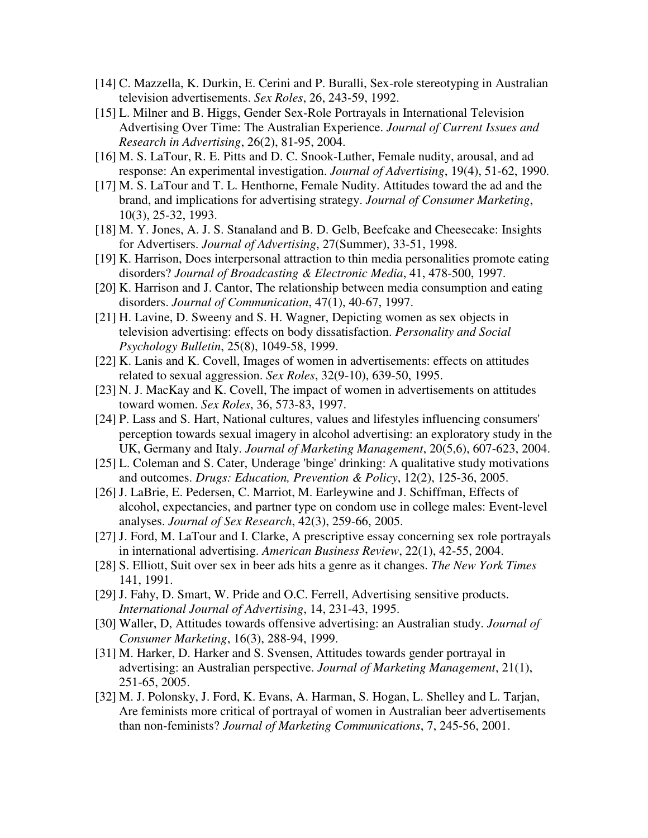- [14] C. Mazzella, K. Durkin, E. Cerini and P. Buralli, Sex-role stereotyping in Australian television advertisements. *Sex Roles*, 26, 243-59, 1992.
- [15] L. Milner and B. Higgs, Gender Sex-Role Portrayals in International Television Advertising Over Time: The Australian Experience. *Journal of Current Issues and Research in Advertising*, 26(2), 81-95, 2004.
- [16] M. S. LaTour, R. E. Pitts and D. C. Snook-Luther, Female nudity, arousal, and ad response: An experimental investigation. *Journal of Advertising*, 19(4), 51-62, 1990.
- [17] M. S. LaTour and T. L. Henthorne, Female Nudity. Attitudes toward the ad and the brand, and implications for advertising strategy. *Journal of Consumer Marketing*, 10(3), 25-32, 1993.
- [18] M. Y. Jones, A. J. S. Stanaland and B. D. Gelb, Beefcake and Cheesecake: Insights for Advertisers. *Journal of Advertising*, 27(Summer), 33-51, 1998.
- [19] K. Harrison, Does interpersonal attraction to thin media personalities promote eating disorders? *Journal of Broadcasting & Electronic Media*, 41, 478-500, 1997.
- [20] K. Harrison and J. Cantor, The relationship between media consumption and eating disorders. *Journal of Communication*, 47(1), 40-67, 1997.
- [21] H. Lavine, D. Sweeny and S. H. Wagner, Depicting women as sex objects in television advertising: effects on body dissatisfaction. *Personality and Social Psychology Bulletin*, 25(8), 1049-58, 1999.
- [22] K. Lanis and K. Covell, Images of women in advertisements: effects on attitudes related to sexual aggression. *Sex Roles*, 32(9-10), 639-50, 1995.
- [23] N. J. MacKay and K. Covell, The impact of women in advertisements on attitudes toward women. *Sex Roles*, 36, 573-83, 1997.
- [24] P. Lass and S. Hart, National cultures, values and lifestyles influencing consumers' perception towards sexual imagery in alcohol advertising: an exploratory study in the UK, Germany and Italy. *Journal of Marketing Management*, 20(5,6), 607-623, 2004.
- [25] L. Coleman and S. Cater, Underage 'binge' drinking: A qualitative study motivations and outcomes. *Drugs: Education, Prevention & Policy*, 12(2), 125-36, 2005.
- [26] J. LaBrie, E. Pedersen, C. Marriot, M. Earleywine and J. Schiffman, Effects of alcohol, expectancies, and partner type on condom use in college males: Event-level analyses. *Journal of Sex Research*, 42(3), 259-66, 2005.
- [27] J. Ford, M. LaTour and I. Clarke, A prescriptive essay concerning sex role portrayals in international advertising. *American Business Review*, 22(1), 42-55, 2004.
- [28] S. Elliott, Suit over sex in beer ads hits a genre as it changes. *The New York Times* 141, 1991.
- [29] J. Fahy, D. Smart, W. Pride and O.C. Ferrell, Advertising sensitive products. *International Journal of Advertising*, 14, 231-43, 1995.
- [30] Waller, D, Attitudes towards offensive advertising: an Australian study. *Journal of Consumer Marketing*, 16(3), 288-94, 1999.
- [31] M. Harker, D. Harker and S. Svensen, Attitudes towards gender portrayal in advertising: an Australian perspective. *Journal of Marketing Management*, 21(1), 251-65, 2005.
- [32] M. J. Polonsky, J. Ford, K. Evans, A. Harman, S. Hogan, L. Shelley and L. Tarjan, Are feminists more critical of portrayal of women in Australian beer advertisements than non-feminists? *Journal of Marketing Communications*, 7, 245-56, 2001.